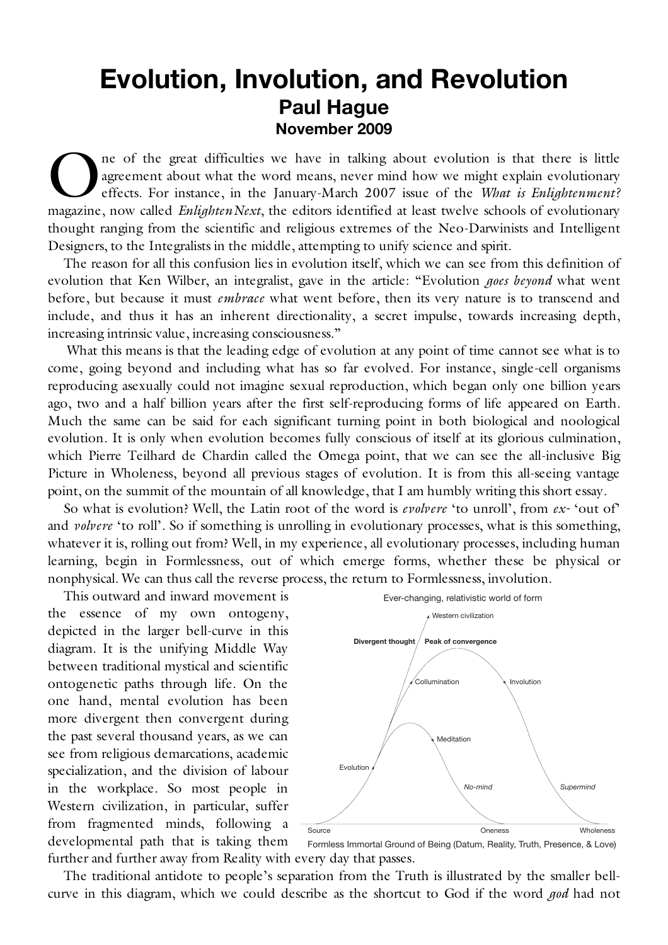## **Evolution, Involution, and Revolution Paul Hague November 2009**

ne of the great difficulties we have in talking about evolution is that there is little agreement about what the word means, never mind how we might explain evolutionary effects. For instance, in the January-March 2007 issue of the *What is Enlightenment?* **Communist Conservery** and the spear of the great difficulties we have in talking about evolution is that there is little agreement about what the word means, never mind how we might explain evolutionary effects. For insta thought ranging from the scientific and religious extremes of the Neo-Darwinists and Intelligent Designers, to the Integralists in the middle, attempting to unify science and spirit.

The reason for all this confusion lies in evolution itself, which we can see from this definition of evolution that Ken Wilber, an integralist, gave in the article: "Evolution *goes beyond* what went before, but because it must *embrace* what went before, then its very nature is to transcend and include, and thus it has an inherent directionality, a secret impulse, towards increasing depth, increasing intrinsic value, increasing consciousness."

What this means is that the leading edge of evolution at any point of time cannot see what is to come, going beyond and including what has so far evolved. For instance, single-cell organisms reproducing asexually could not imagine sexual reproduction, which began only one billion years ago, two and a half billion years after the first self-reproducing forms of life appeared on Earth. Much the same can be said for each significant turning point in both biological and noological evolution. It is only when evolution becomes fully conscious of itself at its glorious culmination, which Pierre Teilhard de Chardin called the Omega point, that we can see the all-inclusive Big Picture in Wholeness, beyond all previous stages of evolution. It is from this all-seeing vantage point, on the summit of the mountain of all knowledge, that I am humbly writing this short essay.

So what is evolution? Well, the Latin root of the word is *evolvere* 'to unroll', from *ex-* 'out of' and *volvere* 'to roll'. So if something is unrolling in evolutionary processes, what is this something, whatever it is, rolling out from? Well, in my experience, all evolutionary processes, including human learning, begin in Formlessness, out of which emerge forms, whether these be physical or nonphysical. We can thus call the reverse process, the return to Formlessness, involution.

This outward and inward movement is the essence of my own ontogeny, depicted in the larger bell-curve in this diagram. It is the unifying Middle Way between traditional mystical and scientific ontogenetic paths through life. On the one hand, mental evolution has been more divergent then convergent during the past several thousand years, as we can see from religious demarcations, academic specialization, and the division of labour in the workplace. So most people in Western civilization, in particular, suffer from fragmented minds, following a developmental path that is taking them



further and further away from Reality with every day that passes. Formless Immortal Ground of Being (Datum, Reality, Truth, Presence, & Love)

The traditional antidote to people's separation from the Truth is illustrated by the smaller bellcurve in this diagram, which we could describe as the shortcut to God if the word *god* had not